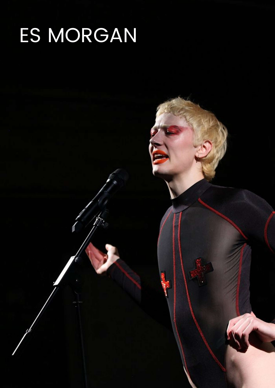## ES MORGAN